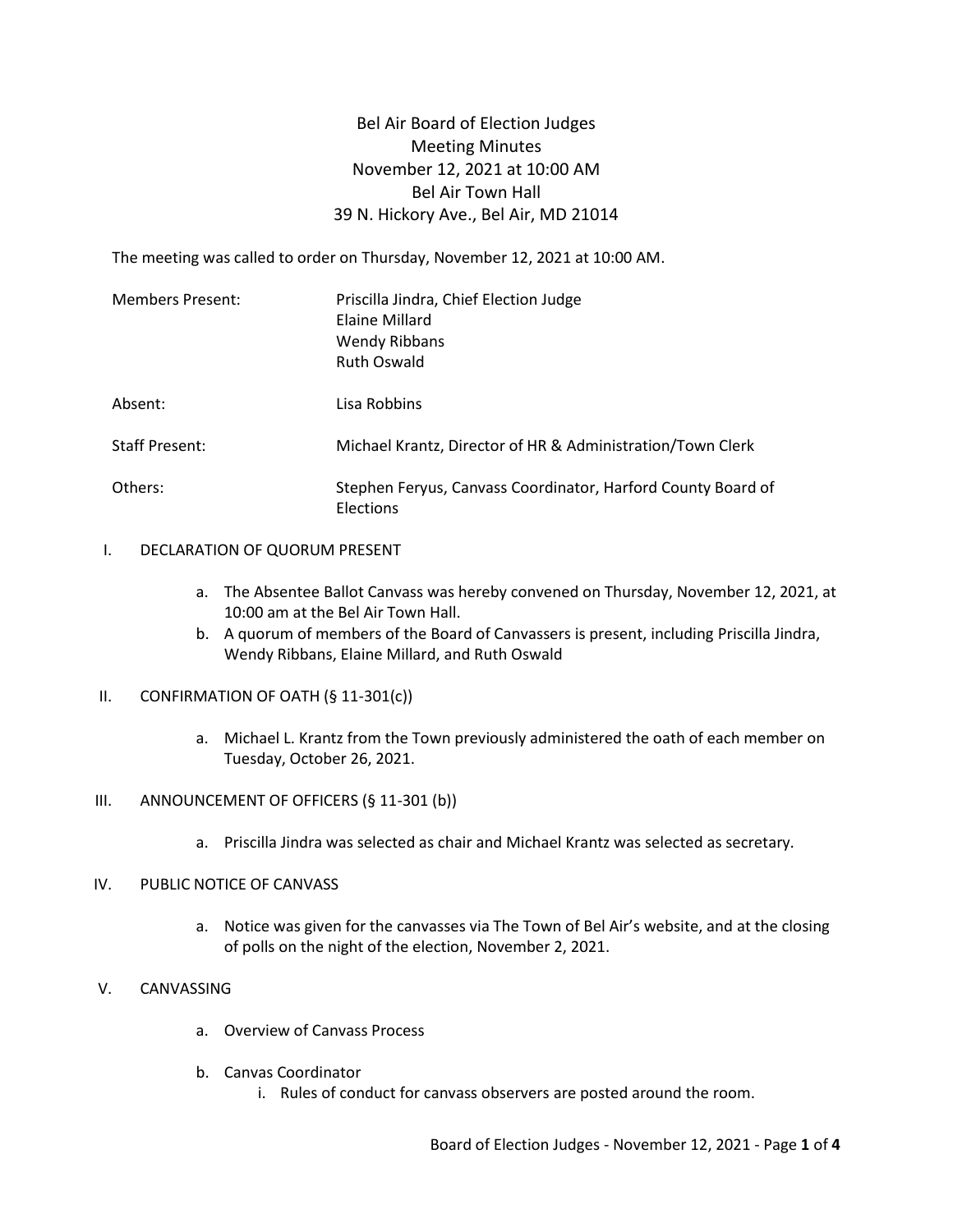# Bel Air Board of Election Judges Meeting Minutes November 12, 2021 at 10:00 AM Bel Air Town Hall 39 N. Hickory Ave., Bel Air, MD 21014

The meeting was called to order on Thursday, November 12, 2021 at 10:00 AM.

| <b>Members Present:</b> | Priscilla Jindra, Chief Election Judge<br>Elaine Millard<br><b>Wendy Ribbans</b><br><b>Ruth Oswald</b> |  |  |
|-------------------------|--------------------------------------------------------------------------------------------------------|--|--|
| Absent:                 | Lisa Robbins                                                                                           |  |  |
| <b>Staff Present:</b>   | Michael Krantz, Director of HR & Administration/Town Clerk                                             |  |  |
| Others:                 | Stephen Feryus, Canvass Coordinator, Harford County Board of<br><b>Elections</b>                       |  |  |

### I. DECLARATION OF QUORUM PRESENT

- a. The Absentee Ballot Canvass was hereby convened on Thursday, November 12, 2021, at 10:00 am at the Bel Air Town Hall.
- b. A quorum of members of the Board of Canvassers is present, including Priscilla Jindra, Wendy Ribbans, Elaine Millard, and Ruth Oswald
- II. CONFIRMATION OF OATH (§ 11-301(c))
	- a. Michael L. Krantz from the Town previously administered the oath of each member on Tuesday, October 26, 2021.

# III. ANNOUNCEMENT OF OFFICERS (§ 11-301 (b))

a. Priscilla Jindra was selected as chair and Michael Krantz was selected as secretary.

# IV. PUBLIC NOTICE OF CANVASS

a. Notice was given for the canvasses via The Town of Bel Air's website, and at the closing of polls on the night of the election, November 2, 2021.

# V. CANVASSING

- a. Overview of Canvass Process
- b. Canvas Coordinator
	- i. Rules of conduct for canvass observers are posted around the room.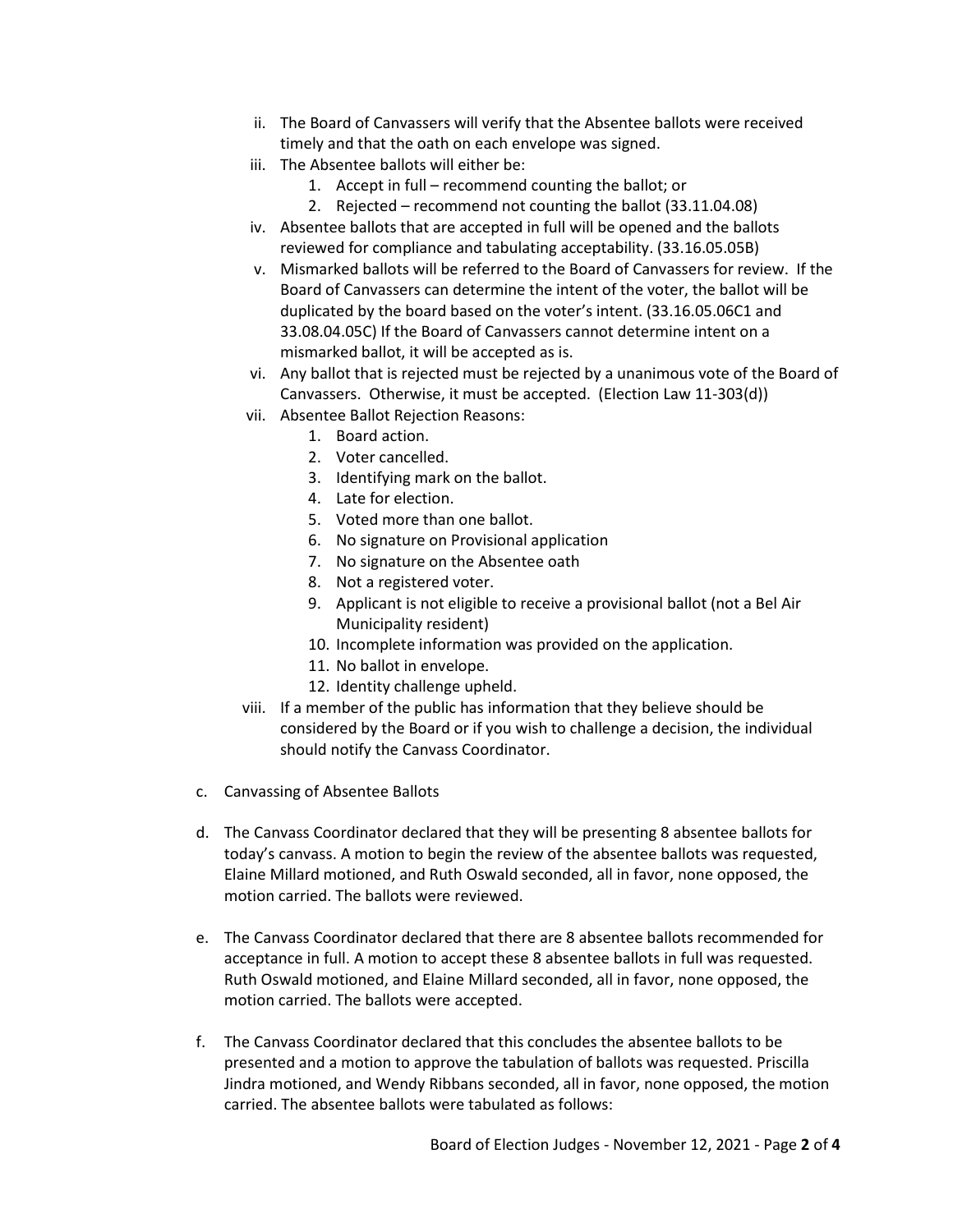- ii. The Board of Canvassers will verify that the Absentee ballots were received timely and that the oath on each envelope was signed.
- iii. The Absentee ballots will either be:
	- 1. Accept in full recommend counting the ballot; or
	- 2. Rejected recommend not counting the ballot (33.11.04.08)
- iv. Absentee ballots that are accepted in full will be opened and the ballots reviewed for compliance and tabulating acceptability. (33.16.05.05B)
- v. Mismarked ballots will be referred to the Board of Canvassers for review. If the Board of Canvassers can determine the intent of the voter, the ballot will be duplicated by the board based on the voter's intent. (33.16.05.06C1 and 33.08.04.05C) If the Board of Canvassers cannot determine intent on a mismarked ballot, it will be accepted as is.
- vi. Any ballot that is rejected must be rejected by a unanimous vote of the Board of Canvassers. Otherwise, it must be accepted. (Election Law 11-303(d))
- vii. Absentee Ballot Rejection Reasons:
	- 1. Board action.
	- 2. Voter cancelled.
	- 3. Identifying mark on the ballot.
	- 4. Late for election.
	- 5. Voted more than one ballot.
	- 6. No signature on Provisional application
	- 7. No signature on the Absentee oath
	- 8. Not a registered voter.
	- 9. Applicant is not eligible to receive a provisional ballot (not a Bel Air Municipality resident)
	- 10. Incomplete information was provided on the application.
	- 11. No ballot in envelope.
	- 12. Identity challenge upheld.
- viii. If a member of the public has information that they believe should be considered by the Board or if you wish to challenge a decision, the individual should notify the Canvass Coordinator.
- c. Canvassing of Absentee Ballots
- d. The Canvass Coordinator declared that they will be presenting 8 absentee ballots for today's canvass. A motion to begin the review of the absentee ballots was requested, Elaine Millard motioned, and Ruth Oswald seconded, all in favor, none opposed, the motion carried. The ballots were reviewed.
- e. The Canvass Coordinator declared that there are 8 absentee ballots recommended for acceptance in full. A motion to accept these 8 absentee ballots in full was requested. Ruth Oswald motioned, and Elaine Millard seconded, all in favor, none opposed, the motion carried. The ballots were accepted.
- f. The Canvass Coordinator declared that this concludes the absentee ballots to be presented and a motion to approve the tabulation of ballots was requested. Priscilla Jindra motioned, and Wendy Ribbans seconded, all in favor, none opposed, the motion carried. The absentee ballots were tabulated as follows: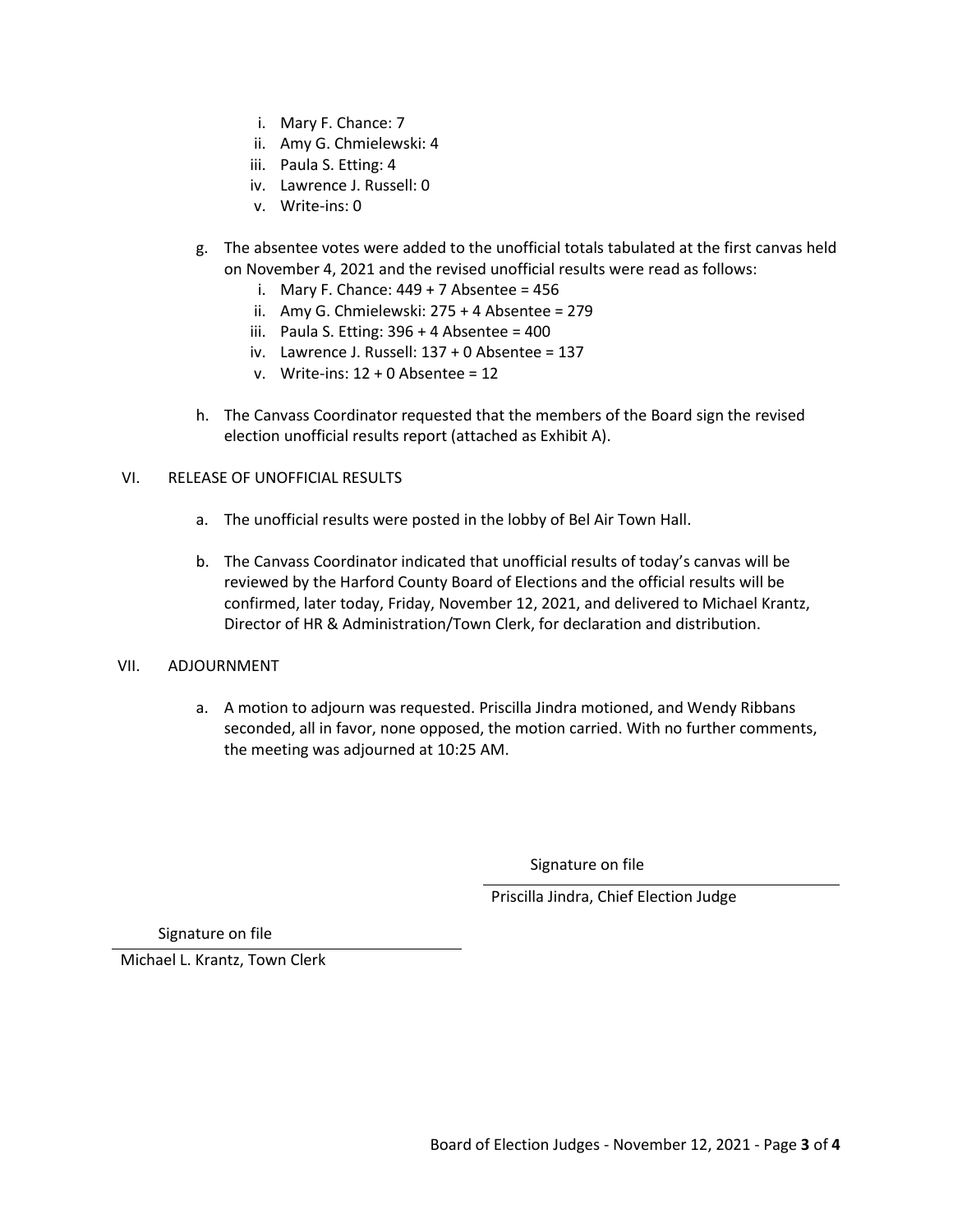- i. Mary F. Chance: 7
- ii. Amy G. Chmielewski: 4
- iii. Paula S. Etting: 4
- iv. Lawrence J. Russell: 0
- v. Write-ins: 0
- g. The absentee votes were added to the unofficial totals tabulated at the first canvas held on November 4, 2021 and the revised unofficial results were read as follows:
	- i. Mary F. Chance:  $449 + 7$  Absentee =  $456$
	- ii. Amy G. Chmielewski: 275 + 4 Absentee = 279
	- iii. Paula S. Etting:  $396 + 4$  Absentee =  $400$
	- iv. Lawrence J. Russell: 137 + 0 Absentee = 137
	- v. Write-ins: 12 + 0 Absentee = 12
- h. The Canvass Coordinator requested that the members of the Board sign the revised election unofficial results report (attached as Exhibit A).

### VI. RELEASE OF UNOFFICIAL RESULTS

- a. The unofficial results were posted in the lobby of Bel Air Town Hall.
- b. The Canvass Coordinator indicated that unofficial results of today's canvas will be reviewed by the Harford County Board of Elections and the official results will be confirmed, later today, Friday, November 12, 2021, and delivered to Michael Krantz, Director of HR & Administration/Town Clerk, for declaration and distribution.

### VII. ADJOURNMENT

a. A motion to adjourn was requested. Priscilla Jindra motioned, and Wendy Ribbans seconded, all in favor, none opposed, the motion carried. With no further comments, the meeting was adjourned at 10:25 AM.

Signature on file

Priscilla Jindra, Chief Election Judge

Signature on file

Michael L. Krantz, Town Clerk